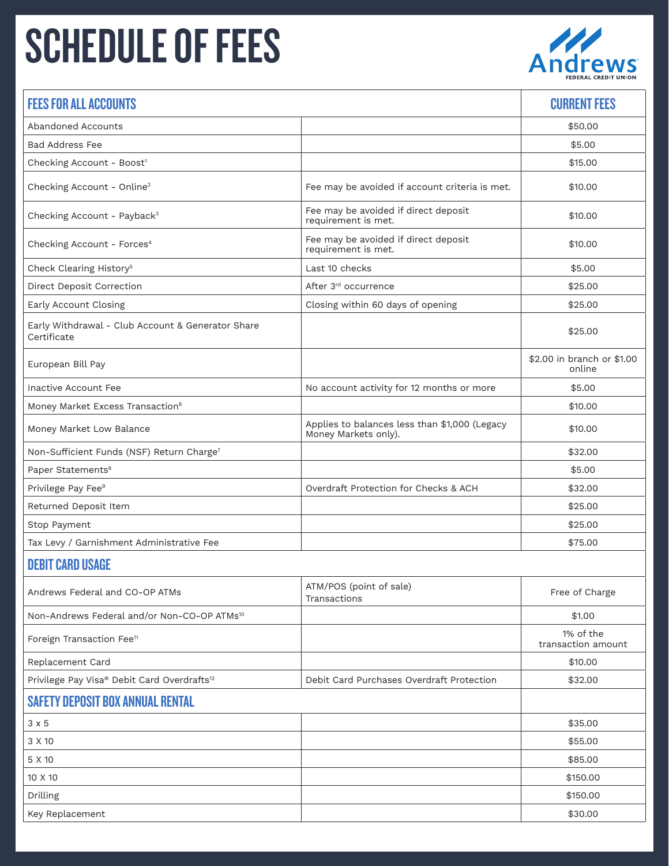## SCHEDULE OF FEES Andrews



| <b>FEES FOR ALL ACCOUNTS</b>                                     |                                                                       | <b>CURRENT FEES</b>                  |  |
|------------------------------------------------------------------|-----------------------------------------------------------------------|--------------------------------------|--|
| Abandoned Accounts                                               |                                                                       | \$50.00                              |  |
| <b>Bad Address Fee</b>                                           |                                                                       | \$5.00                               |  |
| Checking Account - Boost <sup>1</sup>                            |                                                                       | \$15.00                              |  |
| Checking Account - Online <sup>2</sup>                           | Fee may be avoided if account criteria is met.                        | \$10.00                              |  |
| Checking Account - Payback <sup>3</sup>                          | Fee may be avoided if direct deposit<br>requirement is met.           | \$10.00                              |  |
| Checking Account - Forces <sup>4</sup>                           | Fee may be avoided if direct deposit<br>requirement is met.           | \$10.00                              |  |
| Check Clearing History <sup>5</sup>                              | Last 10 checks                                                        | \$5.00                               |  |
| <b>Direct Deposit Correction</b>                                 | After 3rd occurrence                                                  | \$25.00                              |  |
| Early Account Closing                                            | Closing within 60 days of opening                                     | \$25.00                              |  |
| Early Withdrawal - Club Account & Generator Share<br>Certificate |                                                                       | \$25.00                              |  |
| European Bill Pay                                                |                                                                       | \$2.00 in branch or \$1.00<br>online |  |
| Inactive Account Fee                                             | No account activity for 12 months or more                             | \$5.00                               |  |
| Money Market Excess Transaction <sup>6</sup>                     |                                                                       | \$10.00                              |  |
| Money Market Low Balance                                         | Applies to balances less than \$1,000 (Legacy<br>Money Markets only). | \$10.00                              |  |
| Non-Sufficient Funds (NSF) Return Charge <sup>7</sup>            |                                                                       | \$32.00                              |  |
| Paper Statements <sup>8</sup>                                    |                                                                       | \$5.00                               |  |
| Privilege Pay Fee <sup>9</sup>                                   | Overdraft Protection for Checks & ACH                                 | \$32.00                              |  |
| Returned Deposit Item                                            |                                                                       | \$25.00                              |  |
| Stop Payment                                                     |                                                                       | \$25.00                              |  |
| Tax Levy / Garnishment Administrative Fee                        |                                                                       | \$75.00                              |  |
| <b>DEBIT CARD USAGE</b>                                          |                                                                       |                                      |  |
| Andrews Federal and CO-OP ATMs                                   | ATM/POS (point of sale)<br>Transactions                               | Free of Charge                       |  |
| Non-Andrews Federal and/or Non-CO-OP ATMs <sup>10</sup>          |                                                                       | \$1.00                               |  |
| Foreign Transaction Fee <sup>11</sup>                            |                                                                       | 1% of the<br>transaction amount      |  |
| Replacement Card                                                 |                                                                       | \$10.00                              |  |
| Privilege Pay Visa® Debit Card Overdrafts <sup>12</sup>          | Debit Card Purchases Overdraft Protection                             | \$32.00                              |  |
| <b>SAFETY DEPOSIT BOX ANNUAL RENTAL</b>                          |                                                                       |                                      |  |
| $3 \times 5$                                                     |                                                                       | \$35.00                              |  |
| 3 X 10                                                           |                                                                       | \$55.00                              |  |
| 5 X 10                                                           |                                                                       | \$85.00                              |  |
| 10 X 10                                                          |                                                                       | \$150.00                             |  |
| Drilling                                                         |                                                                       | \$150.00                             |  |

Key Replacement \$30.00